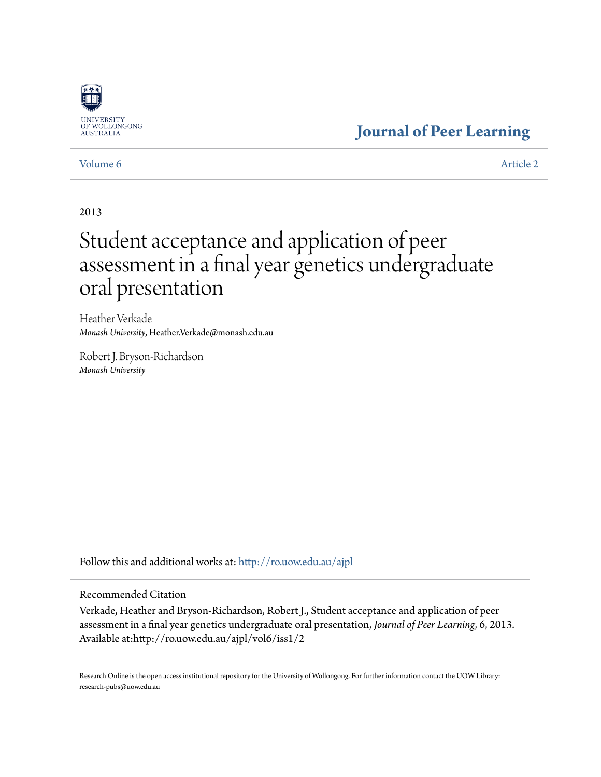

# **[Journal of Peer Learning](http://ro.uow.edu.au/ajpl?utm_source=ro.uow.edu.au%2Fajpl%2Fvol6%2Fiss1%2F2&utm_medium=PDF&utm_campaign=PDFCoverPages)**

# [Volume 6](http://ro.uow.edu.au/ajpl/vol6?utm_source=ro.uow.edu.au%2Fajpl%2Fvol6%2Fiss1%2F2&utm_medium=PDF&utm_campaign=PDFCoverPages) [Article 2](http://ro.uow.edu.au/ajpl/vol6/iss1/2?utm_source=ro.uow.edu.au%2Fajpl%2Fvol6%2Fiss1%2F2&utm_medium=PDF&utm_campaign=PDFCoverPages)

2013

# Student acceptance and application of peer assessment in a final year genetics undergraduate oral presentation

Heather Verkade *Monash University*, Heather.Verkade@monash.edu.au

Robert J. Bryson-Richardson *Monash University*

Follow this and additional works at: [http://ro.uow.edu.au/ajpl](http://ro.uow.edu.au/ajpl?utm_source=ro.uow.edu.au%2Fajpl%2Fvol6%2Fiss1%2F2&utm_medium=PDF&utm_campaign=PDFCoverPages)

# Recommended Citation

Verkade, Heather and Bryson-Richardson, Robert J., Student acceptance and application of peer assessment in a final year genetics undergraduate oral presentation, *Journal of Peer Learning*, 6, 2013. Available at:http://ro.uow.edu.au/ajpl/vol6/iss1/2

Research Online is the open access institutional repository for the University of Wollongong. For further information contact the UOW Library: research-pubs@uow.edu.au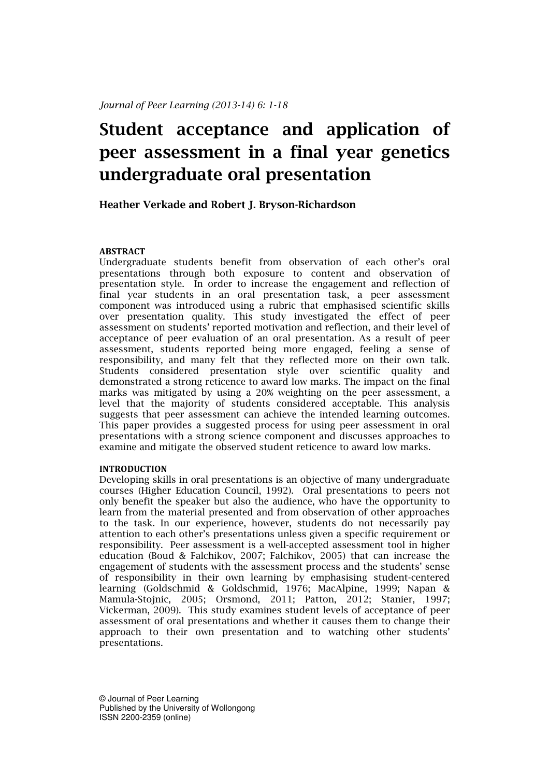# Student acceptance and application of peer assessment in a final year genetics undergraduate oral presentation

# Heather Verkade and Robert J. Bryson-Richardson

### ABSTRACT

Undergraduate students benefit from observation of each other's oral presentations through both exposure to content and observation of presentation style. In order to increase the engagement and reflection of final year students in an oral presentation task, a peer assessment component was introduced using a rubric that emphasised scientific skills over presentation quality. This study investigated the effect of peer assessment on students' reported motivation and reflection, and their level of acceptance of peer evaluation of an oral presentation. As a result of peer assessment, students reported being more engaged, feeling a sense of responsibility, and many felt that they reflected more on their own talk. Students considered presentation style over scientific quality and demonstrated a strong reticence to award low marks. The impact on the final marks was mitigated by using a 20% weighting on the peer assessment, a level that the majority of students considered acceptable. This analysis suggests that peer assessment can achieve the intended learning outcomes. This paper provides a suggested process for using peer assessment in oral presentations with a strong science component and discusses approaches to examine and mitigate the observed student reticence to award low marks.

#### INTRODUCTION

Developing skills in oral presentations is an objective of many undergraduate courses (Higher Education Council, 1992). Oral presentations to peers not only benefit the speaker but also the audience, who have the opportunity to learn from the material presented and from observation of other approaches to the task. In our experience, however, students do not necessarily pay attention to each other's presentations unless given a specific requirement or responsibility. Peer assessment is a well-accepted assessment tool in higher education (Boud & Falchikov, 2007; Falchikov, 2005) that can increase the engagement of students with the assessment process and the students' sense of responsibility in their own learning by emphasising student-centered learning (Goldschmid & Goldschmid, 1976; MacAlpine, 1999; Napan & Mamula-Stojnic, 2005; Orsmond, 2011; Patton, 2012; Stanier, 1997; Vickerman, 2009). This study examines student levels of acceptance of peer assessment of oral presentations and whether it causes them to change their approach to their own presentation and to watching other students' presentations.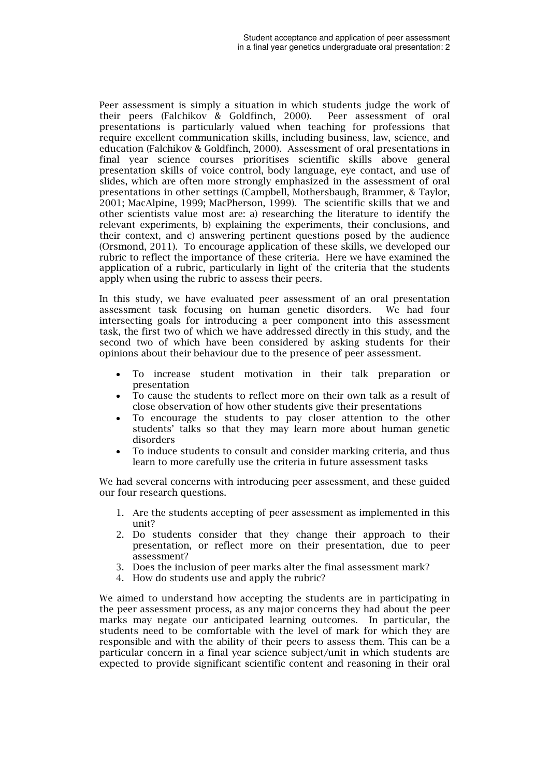Peer assessment is simply a situation in which students judge the work of their peers (Falchikov & Goldfinch, 2000). Peer assessment of oral presentations is particularly valued when teaching for professions that require excellent communication skills, including business, law, science, and education (Falchikov & Goldfinch, 2000). Assessment of oral presentations in final year science courses prioritises scientific skills above general presentation skills of voice control, body language, eye contact, and use of slides, which are often more strongly emphasized in the assessment of oral presentations in other settings (Campbell, Mothersbaugh, Brammer, & Taylor, 2001; MacAlpine, 1999; MacPherson, 1999). The scientific skills that we and other scientists value most are: a) researching the literature to identify the relevant experiments, b) explaining the experiments, their conclusions, and their context, and c) answering pertinent questions posed by the audience (Orsmond, 2011). To encourage application of these skills, we developed our rubric to reflect the importance of these criteria. Here we have examined the application of a rubric, particularly in light of the criteria that the students apply when using the rubric to assess their peers.

In this study, we have evaluated peer assessment of an oral presentation assessment task focusing on human genetic disorders. We had four intersecting goals for introducing a peer component into this assessment task, the first two of which we have addressed directly in this study, and the second two of which have been considered by asking students for their opinions about their behaviour due to the presence of peer assessment.

- To increase student motivation in their talk preparation or presentation
- To cause the students to reflect more on their own talk as a result of close observation of how other students give their presentations
- To encourage the students to pay closer attention to the other students' talks so that they may learn more about human genetic disorders
- To induce students to consult and consider marking criteria, and thus learn to more carefully use the criteria in future assessment tasks

We had several concerns with introducing peer assessment, and these guided our four research questions.

- 1. Are the students accepting of peer assessment as implemented in this unit?
- 2. Do students consider that they change their approach to their presentation, or reflect more on their presentation, due to peer assessment?
- 3. Does the inclusion of peer marks alter the final assessment mark?
- 4. How do students use and apply the rubric?

We aimed to understand how accepting the students are in participating in the peer assessment process, as any major concerns they had about the peer marks may negate our anticipated learning outcomes. In particular, the students need to be comfortable with the level of mark for which they are responsible and with the ability of their peers to assess them. This can be a particular concern in a final year science subject/unit in which students are expected to provide significant scientific content and reasoning in their oral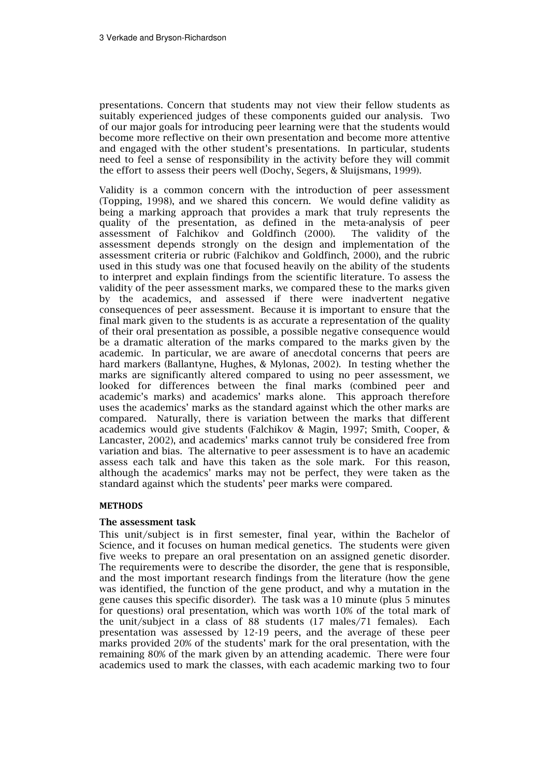presentations. Concern that students may not view their fellow students as suitably experienced judges of these components guided our analysis. Two of our major goals for introducing peer learning were that the students would become more reflective on their own presentation and become more attentive and engaged with the other student's presentations. In particular, students need to feel a sense of responsibility in the activity before they will commit the effort to assess their peers well (Dochy, Segers, & Sluijsmans, 1999).

Validity is a common concern with the introduction of peer assessment (Topping, 1998), and we shared this concern. We would define validity as being a marking approach that provides a mark that truly represents the quality of the presentation, as defined in the meta-analysis of peer assessment of Falchikov and Goldfinch (2000). The validity of the assessment depends strongly on the design and implementation of the assessment criteria or rubric (Falchikov and Goldfinch, 2000), and the rubric used in this study was one that focused heavily on the ability of the students to interpret and explain findings from the scientific literature. To assess the validity of the peer assessment marks, we compared these to the marks given by the academics, and assessed if there were inadvertent negative consequences of peer assessment. Because it is important to ensure that the final mark given to the students is as accurate a representation of the quality of their oral presentation as possible, a possible negative consequence would be a dramatic alteration of the marks compared to the marks given by the academic. In particular, we are aware of anecdotal concerns that peers are hard markers (Ballantyne, Hughes, & Mylonas, 2002). In testing whether the marks are significantly altered compared to using no peer assessment, we looked for differences between the final marks (combined peer and academic's marks) and academics' marks alone. This approach therefore uses the academics' marks as the standard against which the other marks are compared. Naturally, there is variation between the marks that different academics would give students (Falchikov & Magin, 1997; Smith, Cooper, & Lancaster, 2002), and academics' marks cannot truly be considered free from variation and bias. The alternative to peer assessment is to have an academic assess each talk and have this taken as the sole mark. For this reason, although the academics' marks may not be perfect, they were taken as the standard against which the students' peer marks were compared.

# **METHODS**

#### The assessment task

This unit/subject is in first semester, final year, within the Bachelor of Science, and it focuses on human medical genetics. The students were given five weeks to prepare an oral presentation on an assigned genetic disorder. The requirements were to describe the disorder, the gene that is responsible, and the most important research findings from the literature (how the gene was identified, the function of the gene product, and why a mutation in the gene causes this specific disorder). The task was a 10 minute (plus 5 minutes for questions) oral presentation, which was worth 10% of the total mark of the unit/subject in a class of 88 students (17 males/71 females). Each presentation was assessed by 12-19 peers, and the average of these peer marks provided 20% of the students' mark for the oral presentation, with the remaining 80% of the mark given by an attending academic. There were four academics used to mark the classes, with each academic marking two to four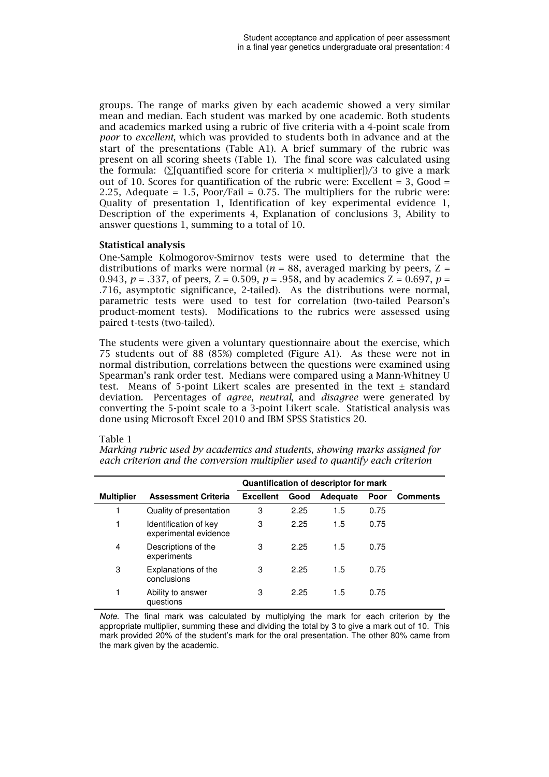groups. The range of marks given by each academic showed a very similar mean and median. Each student was marked by one academic. Both students and academics marked using a rubric of five criteria with a 4-point scale from poor to excellent, which was provided to students both in advance and at the start of the presentations (Table A1). A brief summary of the rubric was present on all scoring sheets (Table 1). The final score was calculated using the formula: (∑[quantified score for criteria  $\times$  multiplier])/3 to give a mark out of 10. Scores for quantification of the rubric were: Excellent  $= 3$ , Good  $=$ 2.25, Adequate =  $1.5$ , Poor/Fail = 0.75. The multipliers for the rubric were: Quality of presentation 1, Identification of key experimental evidence 1, Description of the experiments 4, Explanation of conclusions 3, Ability to answer questions 1, summing to a total of 10.

### Statistical analysis

One-Sample Kolmogorov-Smirnov tests were used to determine that the distributions of marks were normal ( $n = 88$ , averaged marking by peers,  $Z =$ 0.943,  $p = 0.337$ , of peers,  $Z = 0.509$ ,  $p = 0.958$ , and by academics  $Z = 0.697$ ,  $p = 0.997$ .716, asymptotic significance, 2-tailed). As the distributions were normal, parametric tests were used to test for correlation (two-tailed Pearson's product-moment tests). Modifications to the rubrics were assessed using paired t-tests (two-tailed).

The students were given a voluntary questionnaire about the exercise, which 75 students out of 88 (85%) completed (Figure A1). As these were not in normal distribution, correlations between the questions were examined using Spearman's rank order test. Medians were compared using a Mann-Whitney U test. Means of 5-point Likert scales are presented in the text  $\pm$  standard deviation. Percentages of *agree*, *neutral*, and *disagree* were generated by converting the 5-point scale to a 3-point Likert scale. Statistical analysis was done using Microsoft Excel 2010 and IBM SPSS Statistics 20.

#### Table 1

Marking rubric used by academics and students, showing marks assigned for each criterion and the conversion multiplier used to quantify each criterion

|                   |                                                | Quantification of descriptor for mark |      |                 |      |                 |
|-------------------|------------------------------------------------|---------------------------------------|------|-----------------|------|-----------------|
| <b>Multiplier</b> | <b>Assessment Criteria</b>                     | <b>Excellent</b>                      | Good | <b>Adequate</b> | Poor | <b>Comments</b> |
|                   | Quality of presentation                        | 3                                     | 2.25 | 1.5             | 0.75 |                 |
| 1                 | Identification of key<br>experimental evidence | 3                                     | 2.25 | 1.5             | 0.75 |                 |
| 4                 | Descriptions of the<br>experiments             | 3                                     | 2.25 | 1.5             | 0.75 |                 |
| 3                 | Explanations of the<br>conclusions             | 3                                     | 2.25 | 1.5             | 0.75 |                 |
|                   | Ability to answer<br>questions                 | 3                                     | 2.25 | 1.5             | 0.75 |                 |

Note. The final mark was calculated by multiplying the mark for each criterion by the appropriate multiplier, summing these and dividing the total by 3 to give a mark out of 10. This mark provided 20% of the student's mark for the oral presentation. The other 80% came from the mark given by the academic.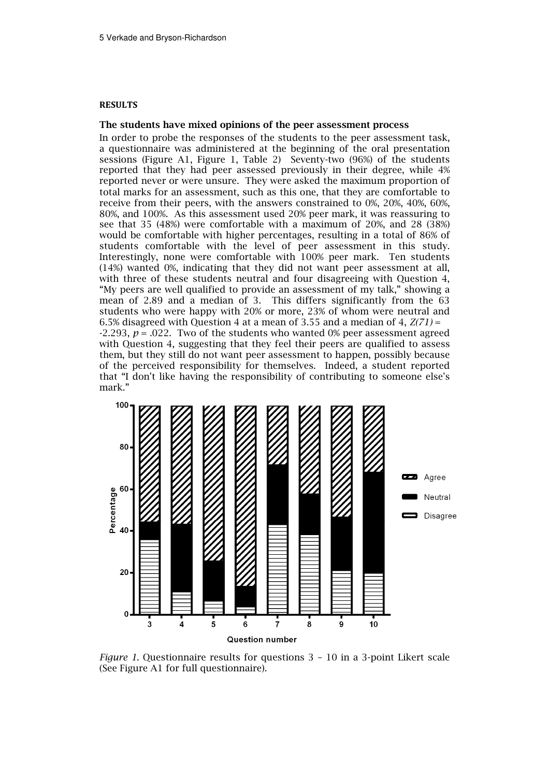#### **RESULTS**

#### The students have mixed opinions of the peer assessment process

In order to probe the responses of the students to the peer assessment task, a questionnaire was administered at the beginning of the oral presentation sessions (Figure A1, Figure 1, Table 2) Seventy-two (96%) of the students reported that they had peer assessed previously in their degree, while 4% reported never or were unsure. They were asked the maximum proportion of total marks for an assessment, such as this one, that they are comfortable to receive from their peers, with the answers constrained to 0%, 20%, 40%, 60%, 80%, and 100%. As this assessment used 20% peer mark, it was reassuring to see that 35 (48%) were comfortable with a maximum of 20%, and 28 (38%) would be comfortable with higher percentages, resulting in a total of 86% of students comfortable with the level of peer assessment in this study. Interestingly, none were comfortable with 100% peer mark. Ten students (14%) wanted 0%, indicating that they did not want peer assessment at all, with three of these students neutral and four disagreeing with Question 4, "My peers are well qualified to provide an assessment of my talk," showing a mean of 2.89 and a median of 3. This differs significantly from the 63 students who were happy with 20% or more, 23% of whom were neutral and 6.5% disagreed with Question 4 at a mean of 3.55 and a median of 4,  $Z(71) =$ -2.293,  $p = .022$ . Two of the students who wanted 0% peer assessment agreed with Question 4, suggesting that they feel their peers are qualified to assess them, but they still do not want peer assessment to happen, possibly because of the perceived responsibility for themselves. Indeed, a student reported that "I don't like having the responsibility of contributing to someone else's mark."



Figure 1. Questionnaire results for questions 3 – 10 in a 3-point Likert scale (See Figure A1 for full questionnaire).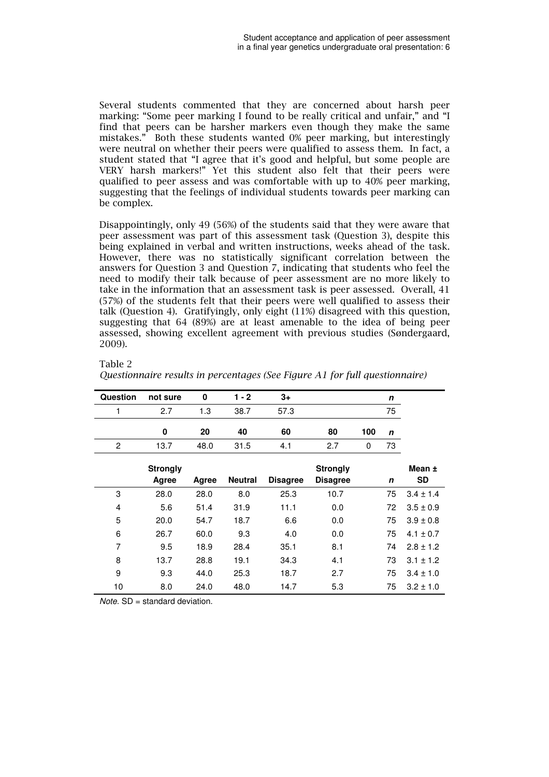Several students commented that they are concerned about harsh peer marking: "Some peer marking I found to be really critical and unfair," and "I find that peers can be harsher markers even though they make the same mistakes." Both these students wanted 0% peer marking, but interestingly were neutral on whether their peers were qualified to assess them. In fact, a student stated that "I agree that it's good and helpful, but some people are VERY harsh markers!" Yet this student also felt that their peers were qualified to peer assess and was comfortable with up to 40% peer marking, suggesting that the feelings of individual students towards peer marking can be complex.

Disappointingly, only 49 (56%) of the students said that they were aware that peer assessment was part of this assessment task (Question 3), despite this being explained in verbal and written instructions, weeks ahead of the task. However, there was no statistically significant correlation between the answers for Question 3 and Question 7, indicating that students who feel the need to modify their talk because of peer assessment are no more likely to take in the information that an assessment task is peer assessed. Overall, 41 (57%) of the students felt that their peers were well qualified to assess their talk (Question 4). Gratifyingly, only eight (11%) disagreed with this question, suggesting that 64 (89%) are at least amenable to the idea of being peer assessed, showing excellent agreement with previous studies (Søndergaard, 2009).

# Table 2

| Question | not sure                 | $\bf{0}$ | $1 - 2$        | $3+$            |                                    |     | $\mathbf n$ |                     |
|----------|--------------------------|----------|----------------|-----------------|------------------------------------|-----|-------------|---------------------|
| 1        | 2.7                      | 1.3      | 38.7           | 57.3            |                                    |     | 75          |                     |
|          | 0                        | 20       | 40             | 60              | 80                                 | 100 | n           |                     |
| 2        | 13.7                     | 48.0     | 31.5           | 4.1             | 2.7                                | 0   | 73          |                     |
|          | <b>Strongly</b><br>Agree | Agree    | <b>Neutral</b> | <b>Disagree</b> | <b>Strongly</b><br><b>Disagree</b> |     | n           | Mean ±<br><b>SD</b> |
| 3        | 28.0                     | 28.0     | 8.0            | 25.3            | 10.7                               |     | 75          | $3.4 \pm 1.4$       |
| 4        | 5.6                      | 51.4     | 31.9           | 11.1            | 0.0                                |     | 72          | $3.5 \pm 0.9$       |
| 5        | 20.0                     | 54.7     | 18.7           | 6.6             | 0.0                                |     | 75          | $3.9 \pm 0.8$       |
| 6        | 26.7                     | 60.0     | 9.3            | 4.0             | 0.0                                |     | 75          | $4.1 \pm 0.7$       |
| 7        | 9.5                      | 18.9     | 28.4           | 35.1            | 8.1                                |     | 74          | $2.8 \pm 1.2$       |
| 8        | 13.7                     | 28.8     | 19.1           | 34.3            | 4.1                                |     | 73          | $3.1 \pm 1.2$       |
| 9        | 9.3                      | 44.0     | 25.3           | 18.7            | 2.7                                |     | 75          | $3.4 \pm 1.0$       |
| 10       | 8.0                      | 24.0     | 48.0           | 14.7            | 5.3                                |     | 75          | $3.2 \pm 1.0$       |

Questionnaire results in percentages (See Figure A1 for full questionnaire)

Note. SD = standard deviation.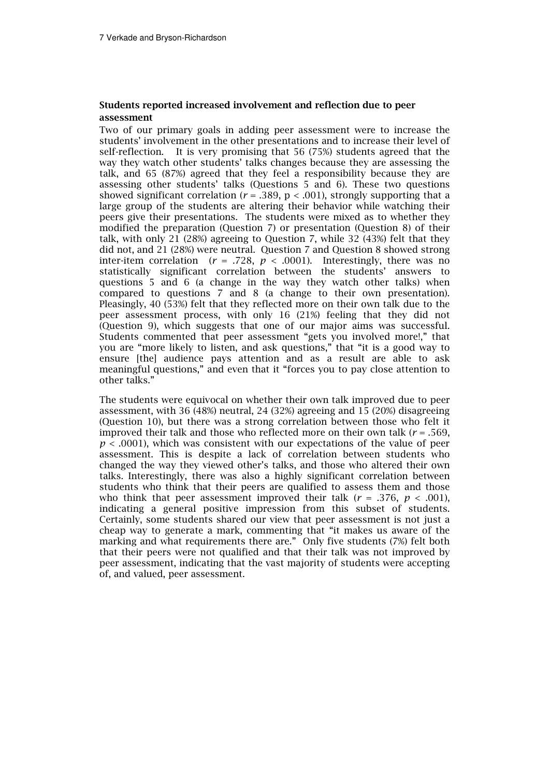# Students reported increased involvement and reflection due to peer assessment

Two of our primary goals in adding peer assessment were to increase the students' involvement in the other presentations and to increase their level of self-reflection. It is very promising that 56 (75%) students agreed that the way they watch other students' talks changes because they are assessing the talk, and 65 (87%) agreed that they feel a responsibility because they are assessing other students' talks (Questions 5 and 6). These two questions showed significant correlation ( $r = .389$ ,  $p < .001$ ), strongly supporting that a large group of the students are altering their behavior while watching their peers give their presentations. The students were mixed as to whether they modified the preparation (Question 7) or presentation (Question 8) of their talk, with only 21 (28%) agreeing to Question 7, while 32 (43%) felt that they did not, and 21 (28%) were neutral. Question 7 and Question 8 showed strong inter-item correlation ( $r = .728$ ,  $p < .0001$ ). Interestingly, there was no statistically significant correlation between the students' answers to questions 5 and 6 (a change in the way they watch other talks) when compared to questions 7 and 8 (a change to their own presentation). Pleasingly, 40 (53%) felt that they reflected more on their own talk due to the peer assessment process, with only 16 (21%) feeling that they did not (Question 9), which suggests that one of our major aims was successful. Students commented that peer assessment "gets you involved more!," that you are "more likely to listen, and ask questions," that "it is a good way to ensure [the] audience pays attention and as a result are able to ask meaningful questions," and even that it "forces you to pay close attention to other talks."

The students were equivocal on whether their own talk improved due to peer assessment, with 36 (48%) neutral, 24 (32%) agreeing and 15 (20%) disagreeing (Question 10), but there was a strong correlation between those who felt it improved their talk and those who reflected more on their own talk ( $r = .569$ ,  $p < .0001$ ), which was consistent with our expectations of the value of peer assessment. This is despite a lack of correlation between students who changed the way they viewed other's talks, and those who altered their own talks. Interestingly, there was also a highly significant correlation between students who think that their peers are qualified to assess them and those who think that peer assessment improved their talk ( $r = .376$ ,  $p < .001$ ), indicating a general positive impression from this subset of students. Certainly, some students shared our view that peer assessment is not just a cheap way to generate a mark, commenting that "it makes us aware of the marking and what requirements there are." Only five students (7%) felt both that their peers were not qualified and that their talk was not improved by peer assessment, indicating that the vast majority of students were accepting of, and valued, peer assessment.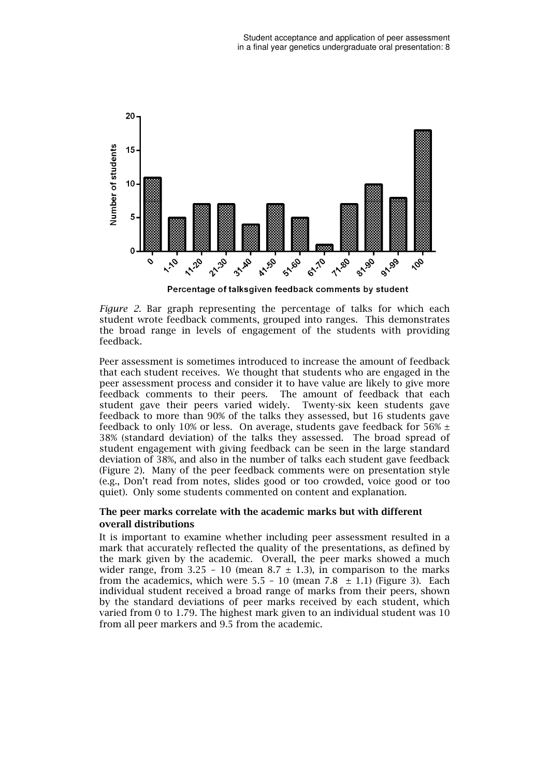

Percentage of talksgiven feedback comments by student

Figure 2. Bar graph representing the percentage of talks for which each student wrote feedback comments, grouped into ranges. This demonstrates the broad range in levels of engagement of the students with providing feedback.

Peer assessment is sometimes introduced to increase the amount of feedback that each student receives. We thought that students who are engaged in the peer assessment process and consider it to have value are likely to give more feedback comments to their peers. The amount of feedback that each student gave their peers varied widely. Twenty-six keen students gave feedback to more than 90% of the talks they assessed, but 16 students gave feedback to only 10% or less. On average, students gave feedback for 56%  $\pm$ 38% (standard deviation) of the talks they assessed. The broad spread of student engagement with giving feedback can be seen in the large standard deviation of 38%, and also in the number of talks each student gave feedback (Figure 2). Many of the peer feedback comments were on presentation style (e.g., Don't read from notes, slides good or too crowded, voice good or too quiet). Only some students commented on content and explanation.

# The peer marks correlate with the academic marks but with different overall distributions

It is important to examine whether including peer assessment resulted in a mark that accurately reflected the quality of the presentations, as defined by the mark given by the academic. Overall, the peer marks showed a much wider range, from  $3.25 - 10$  (mean  $8.7 \pm 1.3$ ), in comparison to the marks from the academics, which were  $5.5 - 10$  (mean  $7.8 \pm 1.1$ ) (Figure 3). Each individual student received a broad range of marks from their peers, shown by the standard deviations of peer marks received by each student, which varied from 0 to 1.79. The highest mark given to an individual student was 10 from all peer markers and 9.5 from the academic.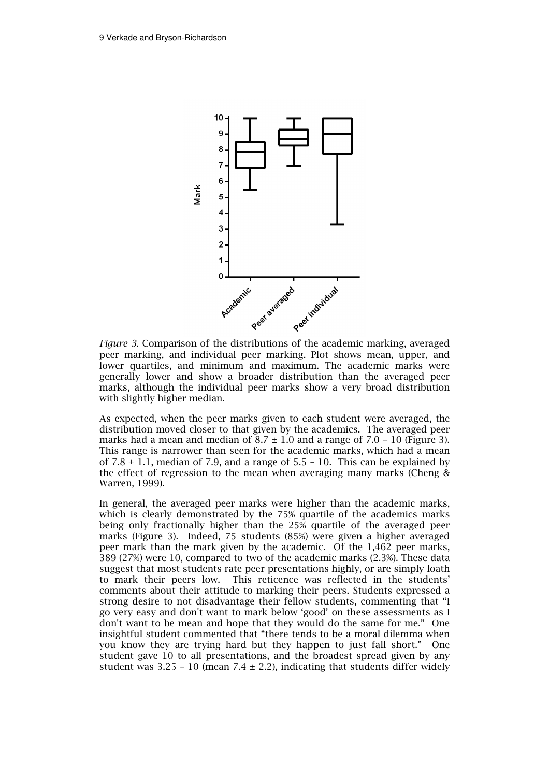

Figure 3. Comparison of the distributions of the academic marking, averaged peer marking, and individual peer marking. Plot shows mean, upper, and lower quartiles, and minimum and maximum. The academic marks were generally lower and show a broader distribution than the averaged peer marks, although the individual peer marks show a very broad distribution with slightly higher median.

As expected, when the peer marks given to each student were averaged, the distribution moved closer to that given by the academics. The averaged peer marks had a mean and median of  $8.7 \pm 1.0$  and a range of  $7.0 - 10$  (Figure 3). This range is narrower than seen for the academic marks, which had a mean of 7.8  $\pm$  1.1, median of 7.9, and a range of 5.5 – 10. This can be explained by the effect of regression to the mean when averaging many marks (Cheng & Warren, 1999).

In general, the averaged peer marks were higher than the academic marks, which is clearly demonstrated by the 75% quartile of the academics marks being only fractionally higher than the 25% quartile of the averaged peer marks (Figure 3). Indeed, 75 students (85%) were given a higher averaged peer mark than the mark given by the academic. Of the 1,462 peer marks, 389 (27%) were 10, compared to two of the academic marks (2.3%). These data suggest that most students rate peer presentations highly, or are simply loath to mark their peers low. This reticence was reflected in the students' comments about their attitude to marking their peers. Students expressed a strong desire to not disadvantage their fellow students, commenting that "I go very easy and don't want to mark below 'good' on these assessments as I don't want to be mean and hope that they would do the same for me." One insightful student commented that "there tends to be a moral dilemma when you know they are trying hard but they happen to just fall short." One student gave 10 to all presentations, and the broadest spread given by any student was  $3.25 - 10$  (mean  $7.4 \pm 2.2$ ), indicating that students differ widely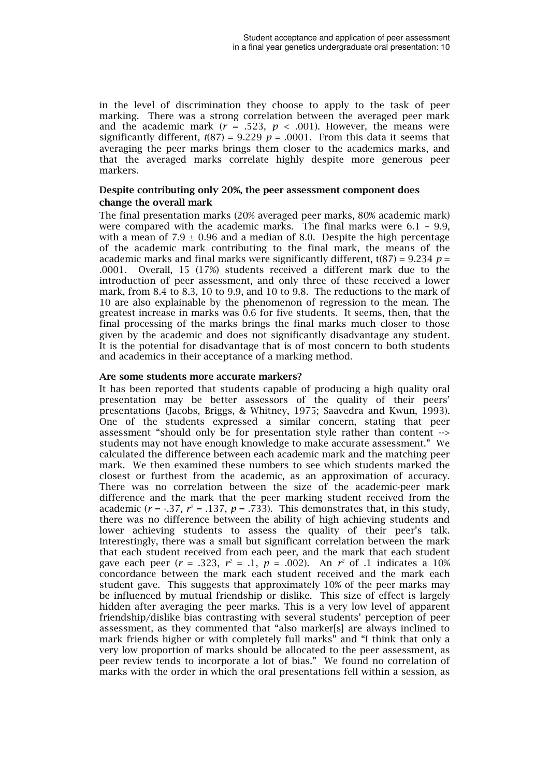in the level of discrimination they choose to apply to the task of peer marking. There was a strong correlation between the averaged peer mark and the academic mark ( $r = .523$ ,  $p < .001$ ). However, the means were significantly different,  $t(87) = 9.229$   $p = .0001$ . From this data it seems that averaging the peer marks brings them closer to the academics marks, and that the averaged marks correlate highly despite more generous peer markers.

# Despite contributing only 20%, the peer assessment component does change the overall mark

The final presentation marks (20% averaged peer marks, 80% academic mark) were compared with the academic marks. The final marks were 6.1 - 9.9, with a mean of  $7.9 \pm 0.96$  and a median of 8.0. Despite the high percentage of the academic mark contributing to the final mark, the means of the academic marks and final marks were significantly different,  $t(87) = 9.234 p =$ .0001. Overall, 15 (17%) students received a different mark due to the introduction of peer assessment, and only three of these received a lower mark, from 8.4 to 8.3, 10 to 9.9, and 10 to 9.8. The reductions to the mark of 10 are also explainable by the phenomenon of regression to the mean. The greatest increase in marks was 0.6 for five students. It seems, then, that the final processing of the marks brings the final marks much closer to those given by the academic and does not significantly disadvantage any student. It is the potential for disadvantage that is of most concern to both students and academics in their acceptance of a marking method.

### Are some students more accurate markers?

It has been reported that students capable of producing a high quality oral presentation may be better assessors of the quality of their peers' presentations (Jacobs, Briggs, & Whitney, 1975; Saavedra and Kwun, 1993). One of the students expressed a similar concern, stating that peer assessment "should only be for presentation style rather than content --> students may not have enough knowledge to make accurate assessment." We calculated the difference between each academic mark and the matching peer mark. We then examined these numbers to see which students marked the closest or furthest from the academic, as an approximation of accuracy. There was no correlation between the size of the academic-peer mark difference and the mark that the peer marking student received from the academic  $(r = -.37, r^2 = .137, p = .733)$ . This demonstrates that, in this study, there was no difference between the ability of high achieving students and lower achieving students to assess the quality of their peer's talk. Interestingly, there was a small but significant correlation between the mark that each student received from each peer, and the mark that each student gave each peer ( $r = .323$ ,  $r^2 = .1$ ,  $p = .002$ ). An  $r^2$  of .1 indicates a 10% concordance between the mark each student received and the mark each student gave. This suggests that approximately 10% of the peer marks may be influenced by mutual friendship or dislike. This size of effect is largely hidden after averaging the peer marks. This is a very low level of apparent friendship/dislike bias contrasting with several students' perception of peer assessment, as they commented that "also marker[s] are always inclined to mark friends higher or with completely full marks" and "I think that only a very low proportion of marks should be allocated to the peer assessment, as peer review tends to incorporate a lot of bias." We found no correlation of marks with the order in which the oral presentations fell within a session, as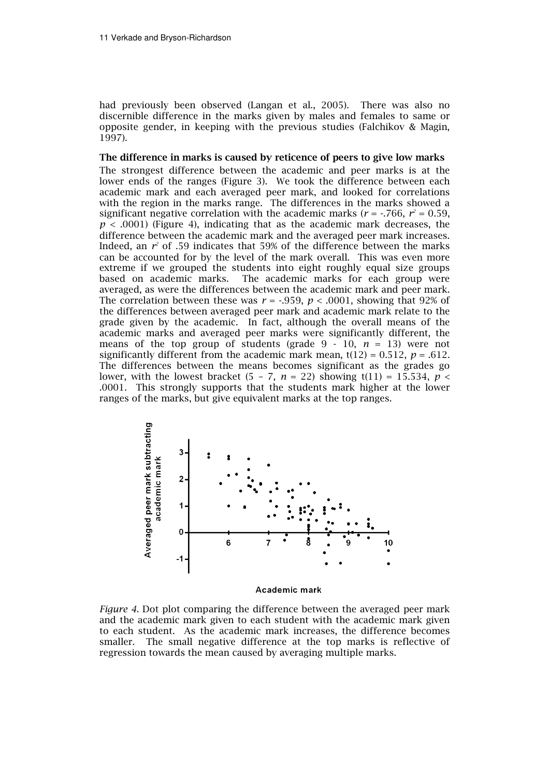had previously been observed (Langan et al., 2005). There was also no discernible difference in the marks given by males and females to same or opposite gender, in keeping with the previous studies (Falchikov & Magin, 1997).

The difference in marks is caused by reticence of peers to give low marks The strongest difference between the academic and peer marks is at the lower ends of the ranges (Figure 3). We took the difference between each academic mark and each averaged peer mark, and looked for correlations with the region in the marks range. The differences in the marks showed a significant negative correlation with the academic marks ( $r = -0.766$ ,  $r^2 = 0.59$ ,  $p < .0001$ ) (Figure 4), indicating that as the academic mark decreases, the difference between the academic mark and the averaged peer mark increases. Indeed, an  $r^2$  of .59 indicates that 59% of the difference between the marks can be accounted for by the level of the mark overall. This was even more extreme if we grouped the students into eight roughly equal size groups based on academic marks. The academic marks for each group were averaged, as were the differences between the academic mark and peer mark. The correlation between these was  $r = -.959$ ,  $p < .0001$ , showing that 92% of the differences between averaged peer mark and academic mark relate to the grade given by the academic. In fact, although the overall means of the academic marks and averaged peer marks were significantly different, the means of the top group of students (grade  $9 - 10$ ,  $n = 13$ ) were not significantly different from the academic mark mean,  $t(12) = 0.512$ ,  $p = .612$ . The differences between the means becomes significant as the grades go lower, with the lowest bracket (5 - 7,  $n = 22$ ) showing t(11) = 15.534,  $p <$ .0001. This strongly supports that the students mark higher at the lower ranges of the marks, but give equivalent marks at the top ranges.



Academic mark

Figure 4. Dot plot comparing the difference between the averaged peer mark and the academic mark given to each student with the academic mark given to each student. As the academic mark increases, the difference becomes smaller. The small negative difference at the top marks is reflective of regression towards the mean caused by averaging multiple marks.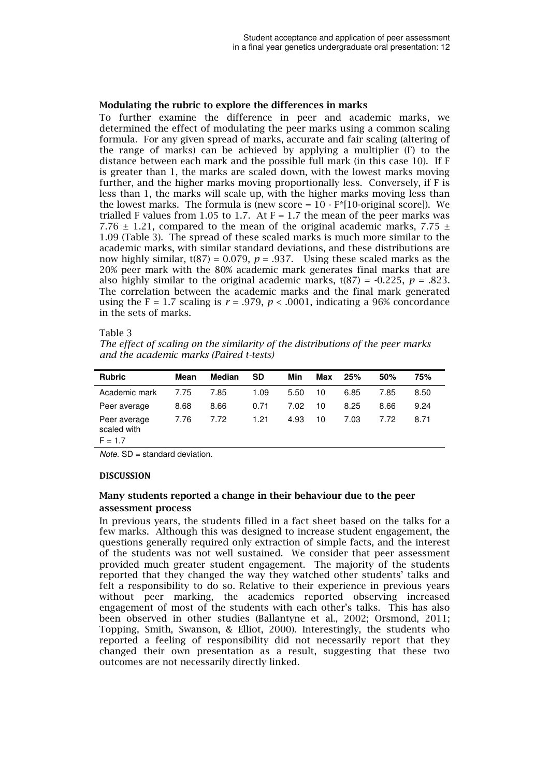#### Modulating the rubric to explore the differences in marks

To further examine the difference in peer and academic marks, we determined the effect of modulating the peer marks using a common scaling formula. For any given spread of marks, accurate and fair scaling (altering of the range of marks) can be achieved by applying a multiplier (F) to the distance between each mark and the possible full mark (in this case 10). If F is greater than 1, the marks are scaled down, with the lowest marks moving further, and the higher marks moving proportionally less. Conversely, if F is less than 1, the marks will scale up, with the higher marks moving less than the lowest marks. The formula is (new score  $= 10 - F*$ [10-original score]). We trialled F values from 1.05 to 1.7. At  $F = 1.7$  the mean of the peer marks was 7.76  $\pm$  1.21, compared to the mean of the original academic marks, 7.75  $\pm$ 1.09 (Table 3). The spread of these scaled marks is much more similar to the academic marks, with similar standard deviations, and these distributions are now highly similar,  $t(87) = 0.079$ ,  $p = .937$ . Using these scaled marks as the 20% peer mark with the 80% academic mark generates final marks that are also highly similar to the original academic marks,  $t(87) = -0.225$ ,  $p = .823$ . The correlation between the academic marks and the final mark generated using the F = 1.7 scaling is  $r = .979$ ,  $p < .0001$ , indicating a 96% concordance in the sets of marks.

#### Table 3

The effect of scaling on the similarity of the distributions of the peer marks and the academic marks (Paired t-tests)

| <b>Rubric</b>                            | Mean | Median | <b>SD</b> | Min  | Max | 25%  | 50%  | 75%  |
|------------------------------------------|------|--------|-----------|------|-----|------|------|------|
| Academic mark                            | 7.75 | 7.85   | 1.09      | 5.50 | 10  | 6.85 | 7.85 | 8.50 |
| Peer average                             | 8.68 | 8.66   | 0.71      | 7.02 | 10  | 8.25 | 8.66 | 9.24 |
| Peer average<br>scaled with<br>$F = 1.7$ | 7.76 | 7.72   | 1.21      | 4.93 | 10  | 7.03 | 7.72 | 8.71 |

 $Note. SD = standard deviation.$ 

#### DISCUSSION

# Many students reported a change in their behaviour due to the peer assessment process

In previous years, the students filled in a fact sheet based on the talks for a few marks. Although this was designed to increase student engagement, the questions generally required only extraction of simple facts, and the interest of the students was not well sustained. We consider that peer assessment provided much greater student engagement. The majority of the students reported that they changed the way they watched other students' talks and felt a responsibility to do so. Relative to their experience in previous years without peer marking, the academics reported observing increased engagement of most of the students with each other's talks. This has also been observed in other studies (Ballantyne et al., 2002; Orsmond, 2011; Topping, Smith, Swanson, & Elliot, 2000). Interestingly, the students who reported a feeling of responsibility did not necessarily report that they changed their own presentation as a result, suggesting that these two outcomes are not necessarily directly linked.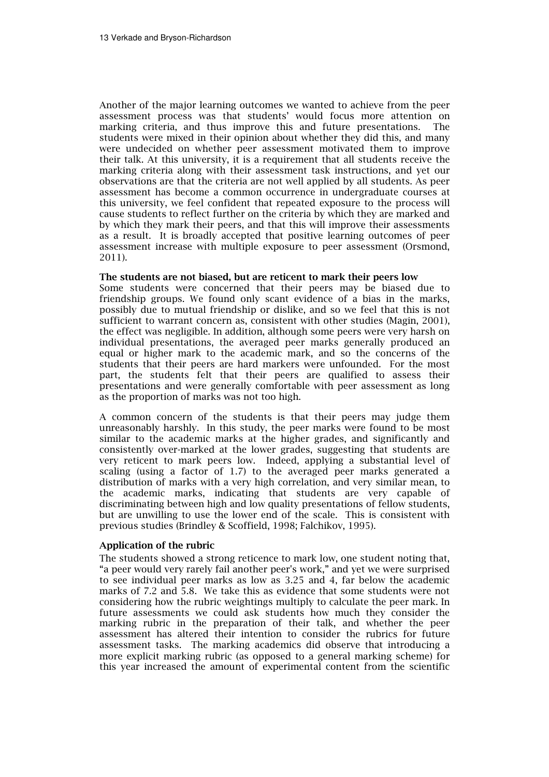Another of the major learning outcomes we wanted to achieve from the peer assessment process was that students' would focus more attention on marking criteria, and thus improve this and future presentations. The students were mixed in their opinion about whether they did this, and many were undecided on whether peer assessment motivated them to improve their talk. At this university, it is a requirement that all students receive the marking criteria along with their assessment task instructions, and yet our observations are that the criteria are not well applied by all students. As peer assessment has become a common occurrence in undergraduate courses at this university, we feel confident that repeated exposure to the process will cause students to reflect further on the criteria by which they are marked and by which they mark their peers, and that this will improve their assessments as a result. It is broadly accepted that positive learning outcomes of peer assessment increase with multiple exposure to peer assessment (Orsmond, 2011).

#### The students are not biased, but are reticent to mark their peers low

Some students were concerned that their peers may be biased due to friendship groups. We found only scant evidence of a bias in the marks, possibly due to mutual friendship or dislike, and so we feel that this is not sufficient to warrant concern as, consistent with other studies (Magin, 2001), the effect was negligible. In addition, although some peers were very harsh on individual presentations, the averaged peer marks generally produced an equal or higher mark to the academic mark, and so the concerns of the students that their peers are hard markers were unfounded. For the most part, the students felt that their peers are qualified to assess their presentations and were generally comfortable with peer assessment as long as the proportion of marks was not too high.

A common concern of the students is that their peers may judge them unreasonably harshly. In this study, the peer marks were found to be most similar to the academic marks at the higher grades, and significantly and consistently over-marked at the lower grades, suggesting that students are very reticent to mark peers low. Indeed, applying a substantial level of scaling (using a factor of 1.7) to the averaged peer marks generated a distribution of marks with a very high correlation, and very similar mean, to the academic marks, indicating that students are very capable of discriminating between high and low quality presentations of fellow students, but are unwilling to use the lower end of the scale. This is consistent with previous studies (Brindley & Scoffield, 1998; Falchikov, 1995).

# Application of the rubric

The students showed a strong reticence to mark low, one student noting that, "a peer would very rarely fail another peer's work," and yet we were surprised to see individual peer marks as low as 3.25 and 4, far below the academic marks of 7.2 and 5.8. We take this as evidence that some students were not considering how the rubric weightings multiply to calculate the peer mark. In future assessments we could ask students how much they consider the marking rubric in the preparation of their talk, and whether the peer assessment has altered their intention to consider the rubrics for future assessment tasks. The marking academics did observe that introducing a more explicit marking rubric (as opposed to a general marking scheme) for this year increased the amount of experimental content from the scientific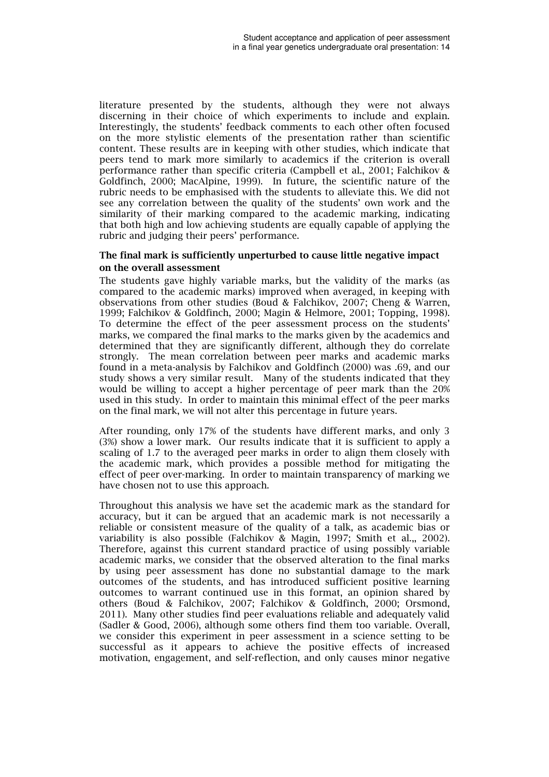literature presented by the students, although they were not always discerning in their choice of which experiments to include and explain. Interestingly, the students' feedback comments to each other often focused on the more stylistic elements of the presentation rather than scientific content. These results are in keeping with other studies, which indicate that peers tend to mark more similarly to academics if the criterion is overall performance rather than specific criteria (Campbell et al., 2001; Falchikov & Goldfinch, 2000; MacAlpine, 1999). In future, the scientific nature of the rubric needs to be emphasised with the students to alleviate this. We did not see any correlation between the quality of the students' own work and the similarity of their marking compared to the academic marking, indicating that both high and low achieving students are equally capable of applying the rubric and judging their peers' performance.

### The final mark is sufficiently unperturbed to cause little negative impact on the overall assessment

The students gave highly variable marks, but the validity of the marks (as compared to the academic marks) improved when averaged, in keeping with observations from other studies (Boud & Falchikov, 2007; Cheng & Warren, 1999; Falchikov & Goldfinch, 2000; Magin & Helmore, 2001; Topping, 1998). To determine the effect of the peer assessment process on the students' marks, we compared the final marks to the marks given by the academics and determined that they are significantly different, although they do correlate strongly. The mean correlation between peer marks and academic marks found in a meta-analysis by Falchikov and Goldfinch (2000) was .69, and our study shows a very similar result. Many of the students indicated that they would be willing to accept a higher percentage of peer mark than the 20% used in this study. In order to maintain this minimal effect of the peer marks on the final mark, we will not alter this percentage in future years.

After rounding, only 17% of the students have different marks, and only 3 (3%) show a lower mark. Our results indicate that it is sufficient to apply a scaling of 1.7 to the averaged peer marks in order to align them closely with the academic mark, which provides a possible method for mitigating the effect of peer over-marking. In order to maintain transparency of marking we have chosen not to use this approach.

Throughout this analysis we have set the academic mark as the standard for accuracy, but it can be argued that an academic mark is not necessarily a reliable or consistent measure of the quality of a talk, as academic bias or variability is also possible (Falchikov & Magin, 1997; Smith et al.,, 2002). Therefore, against this current standard practice of using possibly variable academic marks, we consider that the observed alteration to the final marks by using peer assessment has done no substantial damage to the mark outcomes of the students, and has introduced sufficient positive learning outcomes to warrant continued use in this format, an opinion shared by others (Boud & Falchikov, 2007; Falchikov & Goldfinch, 2000; Orsmond, 2011). Many other studies find peer evaluations reliable and adequately valid (Sadler & Good, 2006), although some others find them too variable. Overall, we consider this experiment in peer assessment in a science setting to be successful as it appears to achieve the positive effects of increased motivation, engagement, and self-reflection, and only causes minor negative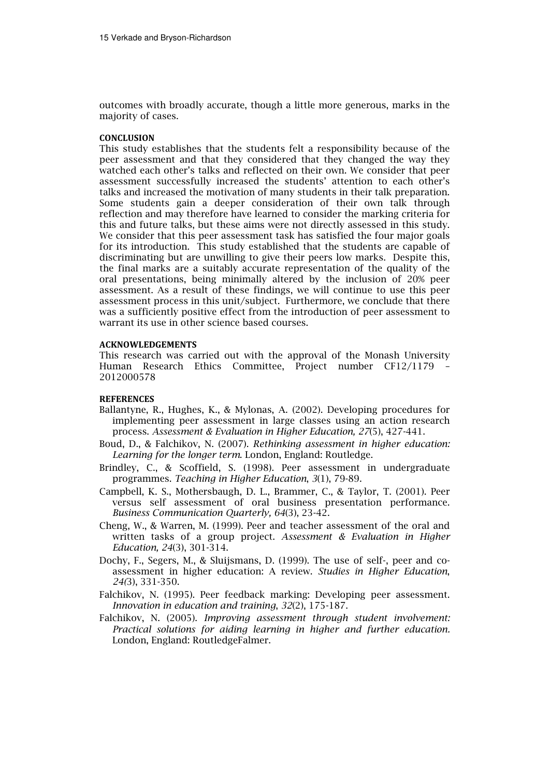outcomes with broadly accurate, though a little more generous, marks in the majority of cases.

#### **CONCLUSION**

This study establishes that the students felt a responsibility because of the peer assessment and that they considered that they changed the way they watched each other's talks and reflected on their own. We consider that peer assessment successfully increased the students' attention to each other's talks and increased the motivation of many students in their talk preparation. Some students gain a deeper consideration of their own talk through reflection and may therefore have learned to consider the marking criteria for this and future talks, but these aims were not directly assessed in this study. We consider that this peer assessment task has satisfied the four major goals for its introduction. This study established that the students are capable of discriminating but are unwilling to give their peers low marks. Despite this, the final marks are a suitably accurate representation of the quality of the oral presentations, being minimally altered by the inclusion of 20% peer assessment. As a result of these findings, we will continue to use this peer assessment process in this unit/subject. Furthermore, we conclude that there was a sufficiently positive effect from the introduction of peer assessment to warrant its use in other science based courses.

#### ACKNOWLEDGEMENTS

This research was carried out with the approval of the Monash University Human Research Ethics Committee, Project number CF12/1179 – 2012000578

#### **REFERENCES**

- Ballantyne, R., Hughes, K., & Mylonas, A. (2002). Developing procedures for implementing peer assessment in large classes using an action research process. Assessment & Evaluation in Higher Education, 27(5), 427-441.
- Boud, D., & Falchikov, N. (2007). Rethinking assessment in higher education: Learning for the longer term. London, England: Routledge.
- Brindley, C., & Scoffield, S. (1998). Peer assessment in undergraduate programmes. Teaching in Higher Education, 3(1), 79-89.
- Campbell, K. S., Mothersbaugh, D. L., Brammer, C., & Taylor, T. (2001). Peer versus self assessment of oral business presentation performance. Business Communication Quarterly, 64(3), 23-42.
- Cheng, W., & Warren, M. (1999). Peer and teacher assessment of the oral and written tasks of a group project. Assessment & Evaluation in Higher Education, 24(3), 301-314.
- Dochy, F., Segers, M., & Sluijsmans, D. (1999). The use of self-, peer and coassessment in higher education: A review. Studies in Higher Education, 24(3), 331-350.
- Falchikov, N. (1995). Peer feedback marking: Developing peer assessment. Innovation in education and training, 32(2), 175-187.
- Falchikov, N. (2005). Improving assessment through student involvement: Practical solutions for aiding learning in higher and further education. London, England: RoutledgeFalmer.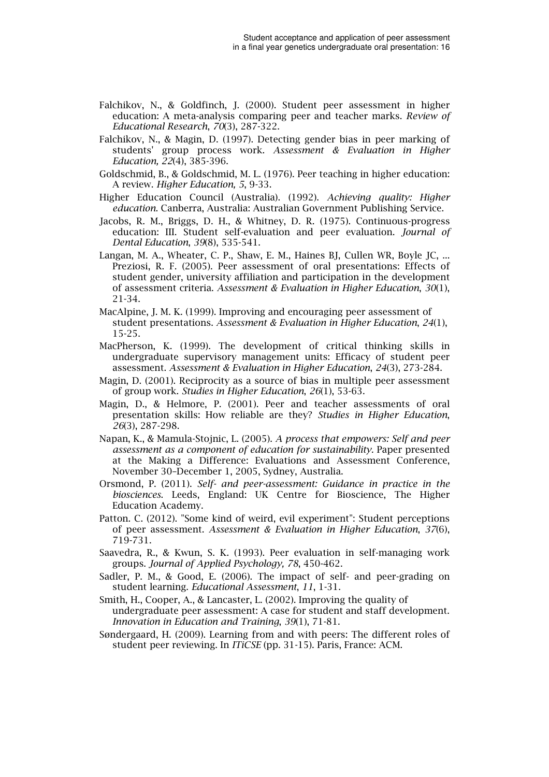- Falchikov, N., & Goldfinch, J. (2000). Student peer assessment in higher education: A meta-analysis comparing peer and teacher marks. Review of Educational Research, 70(3), 287-322.
- Falchikov, N., & Magin, D. (1997). Detecting gender bias in peer marking of students' group process work. Assessment & Evaluation in Higher Education, 22(4), 385-396.
- Goldschmid, B., & Goldschmid, M. L. (1976). Peer teaching in higher education: A review. Higher Education, 5, 9-33.
- Higher Education Council (Australia). (1992). Achieving quality: Higher education. Canberra, Australia: Australian Government Publishing Service.
- Jacobs, R. M., Briggs, D. H., & Whitney, D. R. (1975). Continuous-progress education: III. Student self-evaluation and peer evaluation. Journal of Dental Education, 39(8), 535-541.
- Langan, M. A., Wheater, C. P., Shaw, E. M., Haines BJ, Cullen WR, Boyle JC, ... Preziosi, R. F. (2005). Peer assessment of oral presentations: Effects of student gender, university affiliation and participation in the development of assessment criteria. Assessment & Evaluation in Higher Education, 30(1), 21-34.
- MacAlpine, J. M. K. (1999). Improving and encouraging peer assessment of student presentations. Assessment & Evaluation in Higher Education, 24(1), 15-25.
- MacPherson, K. (1999). The development of critical thinking skills in undergraduate supervisory management units: Efficacy of student peer assessment. Assessment & Evaluation in Higher Education, 24(3), 273-284.
- Magin, D. (2001). Reciprocity as a source of bias in multiple peer assessment of group work. Studies in Higher Education, 26(1), 53-63.
- Magin, D., & Helmore, P. (2001). Peer and teacher assessments of oral presentation skills: How reliable are they? Studies in Higher Education, 26(3), 287-298.
- Napan, K., & Mamula-Stojnic, L. (2005). A process that empowers: Self and peer assessment as a component of education for sustainability. Paper presented at the Making a Difference: Evaluations and Assessment Conference, November 30–December 1, 2005, Sydney, Australia.
- Orsmond, P. (2011). Self- and peer-assessment: Guidance in practice in the biosciences. Leeds, England: UK Centre for Bioscience, The Higher Education Academy.
- Patton. C. (2012). "Some kind of weird, evil experiment": Student perceptions of peer assessment. Assessment & Evaluation in Higher Education, 37(6), 719-731.
- Saavedra, R., & Kwun, S. K. (1993). Peer evaluation in self-managing work groups. Journal of Applied Psychology, 78, 450-462.
- Sadler, P. M., & Good, E. (2006). The impact of self- and peer-grading on student learning. Educational Assessment, 11, 1-31.
- Smith, H., Cooper, A., & Lancaster, L. (2002). Improving the quality of undergraduate peer assessment: A case for student and staff development. Innovation in Education and Training, 39(1), 71-81.
- Søndergaard, H. (2009). Learning from and with peers: The different roles of student peer reviewing. In ITiCSE (pp. 31-15). Paris, France: ACM.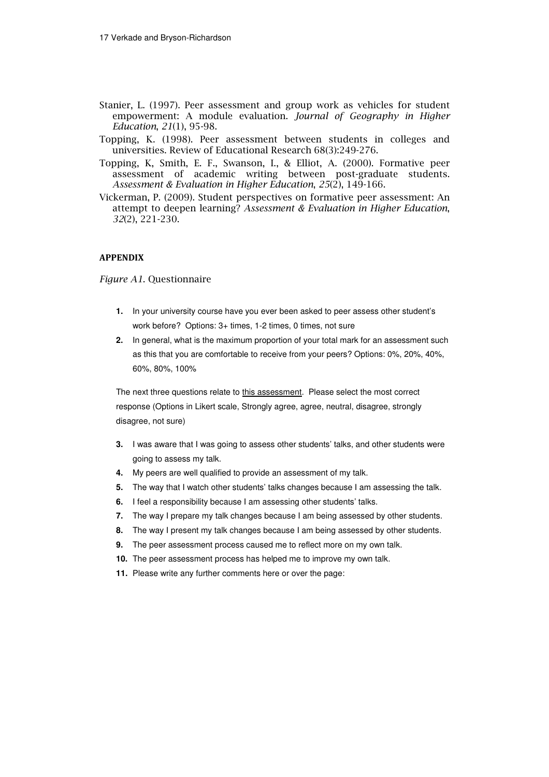- Stanier, L. (1997). Peer assessment and group work as vehicles for student empowerment: A module evaluation. Journal of Geography in Higher Education, 21(1), 95-98.
- Topping, K. (1998). Peer assessment between students in colleges and universities. Review of Educational Research 68(3):249-276.
- Topping, K, Smith, E. F., Swanson, I., & Elliot, A. (2000). Formative peer assessment of academic writing between post-graduate students. Assessment & Evaluation in Higher Education, 25(2), 149-166.
- Vickerman, P. (2009). Student perspectives on formative peer assessment: An attempt to deepen learning? Assessment & Evaluation in Higher Education, 32(2), 221-230.

### APPENDIX

Figure A1. Questionnaire

- **1.** In your university course have you ever been asked to peer assess other student's work before? Options: 3+ times, 1-2 times, 0 times, not sure
- **2.** In general, what is the maximum proportion of your total mark for an assessment such as this that you are comfortable to receive from your peers? Options: 0%, 20%, 40%, 60%, 80%, 100%

The next three questions relate to this assessment. Please select the most correct response (Options in Likert scale, Strongly agree, agree, neutral, disagree, strongly disagree, not sure)

- **3.** I was aware that I was going to assess other students' talks, and other students were going to assess my talk.
- **4.** My peers are well qualified to provide an assessment of my talk.
- **5.** The way that I watch other students' talks changes because I am assessing the talk.
- **6.** I feel a responsibility because I am assessing other students' talks.
- **7.** The way I prepare my talk changes because I am being assessed by other students.
- **8.** The way I present my talk changes because I am being assessed by other students.
- **9.** The peer assessment process caused me to reflect more on my own talk.
- **10.** The peer assessment process has helped me to improve my own talk.
- **11.** Please write any further comments here or over the page: